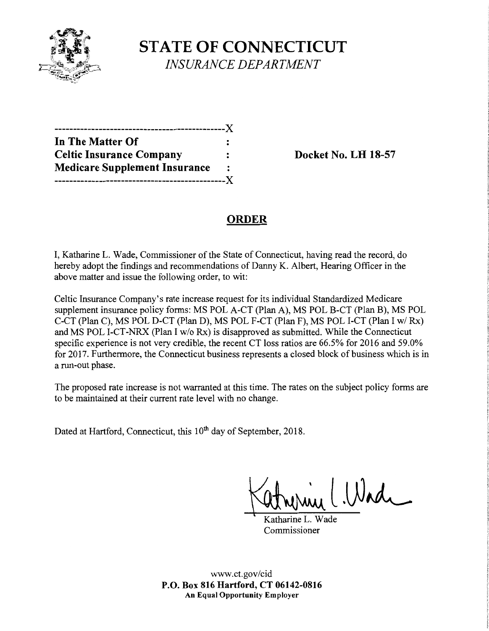

**STATE OF CONNECTICUT**  *INSURANCE DEPARTMENT* 

| In The Matter Of                     |                |
|--------------------------------------|----------------|
| <b>Celtic Insurance Company</b>      |                |
| <b>Medicare Supplement Insurance</b> | $\ddot{\cdot}$ |
| -------------------------            | --- X          |

**Docket No. LH 18-57** 

# **ORDER**

I, Katharine L. Wade, Commissioner of the State of Connecticut, having read the record, do hereby adopt the findings and recommendations of Danny K. Albert, Hearing Officer in the above matter and issue the following order, to wit:

Celtic Insurance Company's rate increase request for its individual Standardized Medicare supplement insurance policy forms: MS POL A-CT (Plan A), MS POL B-CT (Plan B), MS POL C-CT (Plan C), MS POL D-CT (Plan D), MS POL F-CT (Plan F), MS POL I-CT (Plan I w/ Rx) and MS POL I-CT-NRX (Plan I w/o Rx) is disapproved as submitted. While the Connecticut specific experience is not very credible, the recent CT loss ratios are 66.5% for 2016 and 59.0% for 2017. Furthermore, the Connecticut business represents a closed block of business which is in a run-out phase.

The proposed rate increase is not warranted at this time. The rates on the subject policy forms are to be maintained at their current rate level with no change.

Dated at Hartford, Connecticut, this 10<sup>th</sup> day of September, 2018.

~l.W~

Katharine L. Wade Commissioner

www.ct.gov/cid **P.O. Box 816 Hartford, CT 06142-0816 An Equal Opportunity Employer**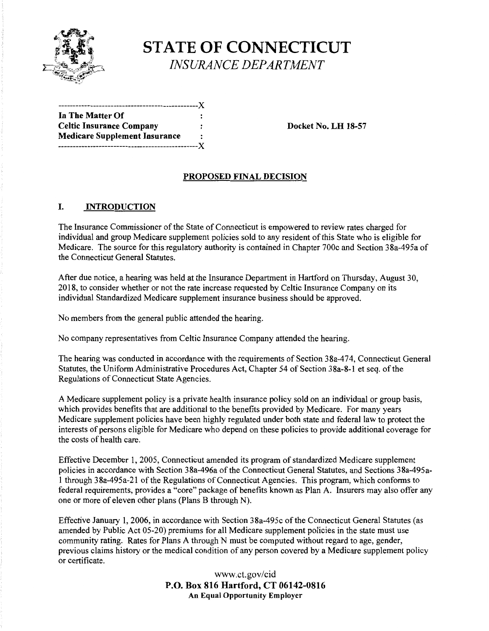

**STATE OF CONNECTICUT**  *INSURANCE DEPARTMENT* 

------------------------------------------------)( **In The Matter Of**  Celtic Insurance Company : The Docket No. LH 18-57 **Medicare Supplement Insurance**  ------------------------------------------------)(

### **PROPOSED FINAL DECISION**

#### I. **INTRODUCTION**

The Insurance Commissioner of the State of Connecticut is empowered to review rates charged for individual and group Medicare supplement policies sold to any resident of this State who is eligible for Medicare. The source for this regulatory authority is contained in Chapter 700c and Section 38a-495a of the Connecticut General Statutes.

After due notice, a hearing was held at the Insurance Department in Hartford on Thursday, August 30, 2018, to consider whether or not the rate increase requested by Celtic Insurance Company on its individual Standardized Medicare supplement insurance business should be approved.

No members from the general public attended the hearing.

No company representatives from Celtic Insurance Company attended the hearing.

The hearing was conducted in accordance with the requirements of Section 38a-474, Connecticut General Statutes, the Uniform Administrative Procedures Act, Chapter 54 of Section 38a-8-1 et seq. of the Regulations of Connecticut State Agencies.

A Medicare supplement policy is a private health insurance policy sold on an individual or group basis, which provides benefits that are additional to the benefits provided by Medicare. For many years Medicare supplement policies have been highly regulated under both state and federal law to protect the interests of persons eligible for Medicare who depend on these policies to provide additional coverage for the costs of health care.

Effective December 1, 2005, Connecticut amended its program of standardized Medicare supplement policies in accordance with Section 38a-496a of the Connecticut General Statutes, and Sections 38a-495a-1 through 38a-495a-21 of the Regulations of Connecticut Agencies. This program, which conforms to federal requirements, provides a "core" package of benefits known as Plan A. Insurers may also offer any one or more of eleven other plans (Plans B through N).

Effective January 1, 2006, in accordance with Section 38a-495c of the Connecticut General Statutes (as amended by Public Act 05-20) premiums for all Medicare supplement policies in the state must use community rating. Rates for Plans A through N must be computed without regard to age, gender, previous claims history or the medical condition of any person covered by a Medicare supplement policy or certificate.

> www.ct.gov/cid **P.O. Box 816 Hartford, CT 06142-0816 An Equal Opportunity Employer**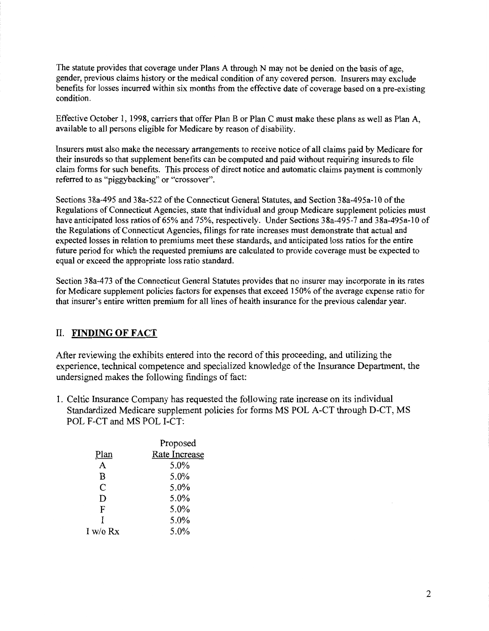The statute provides that coverage under Plans A through N may not be denied on the basis of age, gender, previous claims history or the medical condition of any covered person. Insurers may exclude benefits for losses incurred within six months from the effective date of coverage based on a pre-existing condition.

Effective October l, 1998, carriers that offer Plan B or Plan C must make these plans as well as Plan A, available to all persons eligible for Medicare by reason of disability.

Insurers must also make the necessary arrangements to receive notice of all claims paid by Medicare for their insureds so that supplement benefits can be computed and paid without requiring insureds to file claim forms for such benefits. This process of direct notice and automatic claims payment is commonly referred to as "piggybacking" or "crossover".

Sections 38a-495 and 38a-522 ofthe Connecticut General Statutes, and Section 38a-495a-10 of the Regulations of Connecticut Agencies, state that individual and group Medicare supplement policies must have anticipated loss ratios of 65% and 75%, respectively. Under Sections 38a-495-7 and 38a-495a-10 of the Regulations of Connecticut Agencies, filings for rate increases must demonstrate that actual and expected losses in relation to premiums meet these standards, and anticipated loss ratios for the entire future period for which the requested premiums are calculated to provide coverage must be expected to equal or exceed the appropriate loss ratio standard.

Section 3 8a-4 73 of the Connecticut General Statutes provides that no insurer may incorporate in its rates for Medicare supplement policies factors for expenses that exceed 150% of the average expense ratio for that insurer's entire written premium for all lines of health insurance for the previous calendar year.

## II. **FINDING OF FACT**

After reviewing the exhibits entered into the record of this proceeding, and utilizing the experience, technical competence and specialized knowledge of the Insurance Department, the undersigned makes the following findings of fact:

1. Celtic Insurance Company has requested the following rate increase on its individual Standardized Medicare supplement policies for forms MS POL A-CT through D-CT, MS POL F-CT and MS POL I-CT:

|          | Proposed      |
|----------|---------------|
| Plan     | Rate Increase |
| A        | 5.0%          |
| B        | 5.0%          |
| C        | 5.0%          |
| D        | 5.0%          |
| F        | 5.0%          |
| Ŧ        | 5.0%          |
| I w/o Rx | 5.0%          |
|          |               |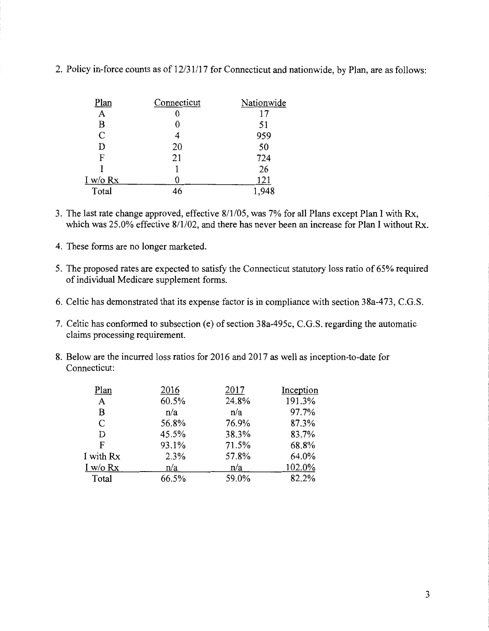| Plan          | Connecticut | Nationwide |
|---------------|-------------|------------|
| А             |             | 17         |
| B             |             | 51         |
| $\mathcal{C}$ | 4           | 959        |
| D             | 20          | 50         |
| F             | 21          | 724        |
|               |             | 26         |
| $I$ w/o $Rx$  |             | 121        |
| Total         |             |            |

2. Policy in-force counts as of 12/31/17 for Connecticut and nationwide, by Plan, are as follows:

- 3. The last rate change approved, effective 8/1/05, was 7% for all Plans except Plan I with Rx, which was 25.0% effective 8/1/02, and there has never been an increase for Plan I without Rx.
- 4. These forms are no longer marketed.
- 5. The proposed rates are expected to satisfy the Connecticut statutory loss ratio of 65% required of individual Medicare supplement forms.
- 6. Celtic has demonstrated that its expense factor is in compliance with section 38a-473, C.G.S.
- 7. Celtic has conformed to subsection (e) of section 38a-495c, C.G.S. regarding the automatic claims processing requirement.
- 8. Below are the incurred loss ratios for 2016 and 2017 as well as inception-to-date for Connecticut:

| Plan       | 2016  | 2017  | Inception |
|------------|-------|-------|-----------|
| A          | 60.5% | 24.8% | 191.3%    |
| в          | n/a   | n/a   | 97.7%     |
| C          | 56.8% | 76.9% | 87.3%     |
| D          | 45.5% | 38.3% | 83.7%     |
| F          | 93.1% | 71.5% | 68.8%     |
| I with Rx  | 2.3%  | 57.8% | 64.0%     |
| I w/o $Rx$ | n/a   | n/a   | 102.0%    |
| Total      | 66.5% | 59.0% | 82.2%     |
|            |       |       |           |